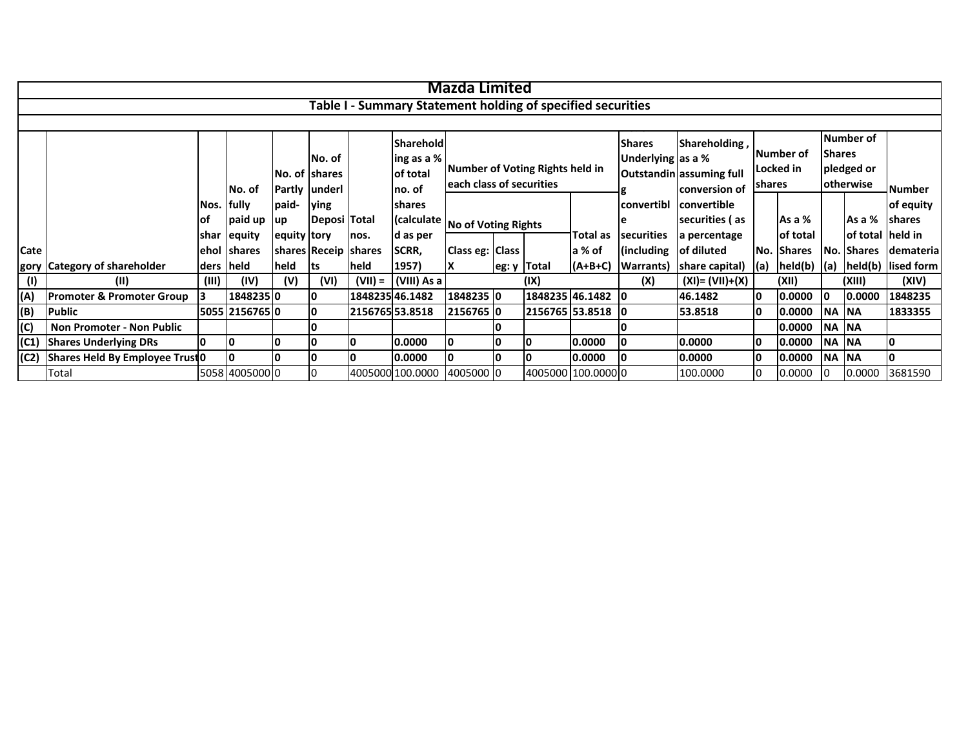|      |                                      |            |                |               |                         |           |                                                             | <b>Mazda Limited</b>     |                                 |                 |                                    |                                           |                    |                               |               |                         |                  |               |
|------|--------------------------------------|------------|----------------|---------------|-------------------------|-----------|-------------------------------------------------------------|--------------------------|---------------------------------|-----------------|------------------------------------|-------------------------------------------|--------------------|-------------------------------|---------------|-------------------------|------------------|---------------|
|      |                                      |            |                |               |                         |           | Table I - Summary Statement holding of specified securities |                          |                                 |                 |                                    |                                           |                    |                               |               |                         |                  |               |
|      |                                      |            |                |               |                         |           |                                                             |                          |                                 |                 |                                    |                                           |                    |                               |               |                         |                  |               |
|      |                                      |            |                |               | No. of<br>No. of Shares |           | Sharehold<br>ing as a %<br>of total                         |                          | Number of Voting Rights held in |                 | <b>Shares</b><br>Underlying as a % | Shareholding,<br>Outstandin assuming full |                    | <b>Number of</b><br>Locked in | <b>Shares</b> | Number of<br>pledged or |                  |               |
|      |                                      |            | No. of         | Partly underl |                         |           | no. of                                                      | each class of securities |                                 |                 |                                    |                                           | conversion of      | shares                        |               | <b>otherwise</b>        |                  | <b>Number</b> |
|      |                                      | Nos. fully |                | paid-         | <b>Ving</b>             |           | shares                                                      |                          |                                 |                 |                                    | convertibl                                | convertible        |                               |               |                         |                  | of equity     |
|      |                                      | lof        | paid up        | up            | Deposi Total            |           | (calculate                                                  | No of Voting Rights      |                                 |                 |                                    |                                           | securities (as     |                               | As a %        |                         | As a %           | <b>shares</b> |
|      |                                      | shar       | equity         | equity tory   |                         | nos.      | d as per                                                    |                          |                                 |                 | Total as                           | securities                                | a percentage       |                               | of total      |                         | of total held in |               |
| Cate |                                      | ehol       | <b>Ishares</b> |               | shares Receip shares    |           | SCRR,                                                       | Class eg: Class          |                                 |                 | a % of                             | (including                                | of diluted         |                               | No. Shares    |                         | No. Shares       | demateria     |
|      | gory Category of shareholder         | ders held  |                | held          | lts                     | held      | 1957)                                                       | ΙX                       | $ eg: y $ Total                 |                 | $(A+B+C)$                          | <b>Warrants</b> )                         | share capital)     | $\vert$ (a)                   | held(b)   (a) |                         | held(b)          | lised form    |
| (1)  | (11)                                 | (III)      | (IV)           | (V)           | (VI)                    | $(VII) =$ | (VIII) As a                                                 |                          |                                 | (IX)            |                                    | (X)                                       | $(XI) = (VII)+(X)$ |                               | (XII)         |                         | (XIII)           | (XIV)         |
| (A)  | <b>Promoter &amp; Promoter Group</b> |            | 1848235 0      |               | I٥                      |           | 184823546.1482                                              | 1848235 0                |                                 |                 | 1848235 46.1482 0                  |                                           | 46.1482            | I٥                            | 0.0000        | <b>10</b>               | 0.0000           | 1848235       |
| (B)  | <b>Public</b>                        |            | 5055 2156765 0 |               | 10                      |           | 2156765 53.8518                                             | 2156765 0                |                                 | 2156765 53.8518 |                                    | 10                                        | 53.8518            | I٥                            | 0.0000        | NA NA                   |                  | 1833355       |
| (C)  | <b>Non Promoter - Non Public</b>     |            |                |               |                         |           |                                                             |                          |                                 |                 |                                    |                                           |                    |                               | 0.0000        | <b>NA NA</b>            |                  |               |
|      | (C1) Shares Underlying DRs           | I٥         | I٥             | I٥            | I٥                      |           | 0.0000                                                      | IО                       | I٥                              |                 | 0.0000                             |                                           | 0.0000             | I٥                            | 0.0000        | <b>NA NA</b>            |                  |               |
|      | (C2) Shares Held By Employee Trust 0 |            |                |               | 10                      |           | 0.0000                                                      | 10                       | 10                              |                 | 0.0000                             |                                           | 0.0000             | I٥                            | 0.0000        | NA NA                   |                  |               |
|      | Total                                |            | 5058 4005000 0 |               |                         |           | 4005000 100.0000                                            | 4005000 0                |                                 |                 | 4005000 100.0000 0                 |                                           | 100.0000           | 10                            | 0.0000        | 10                      | 0.0000           | 3681590       |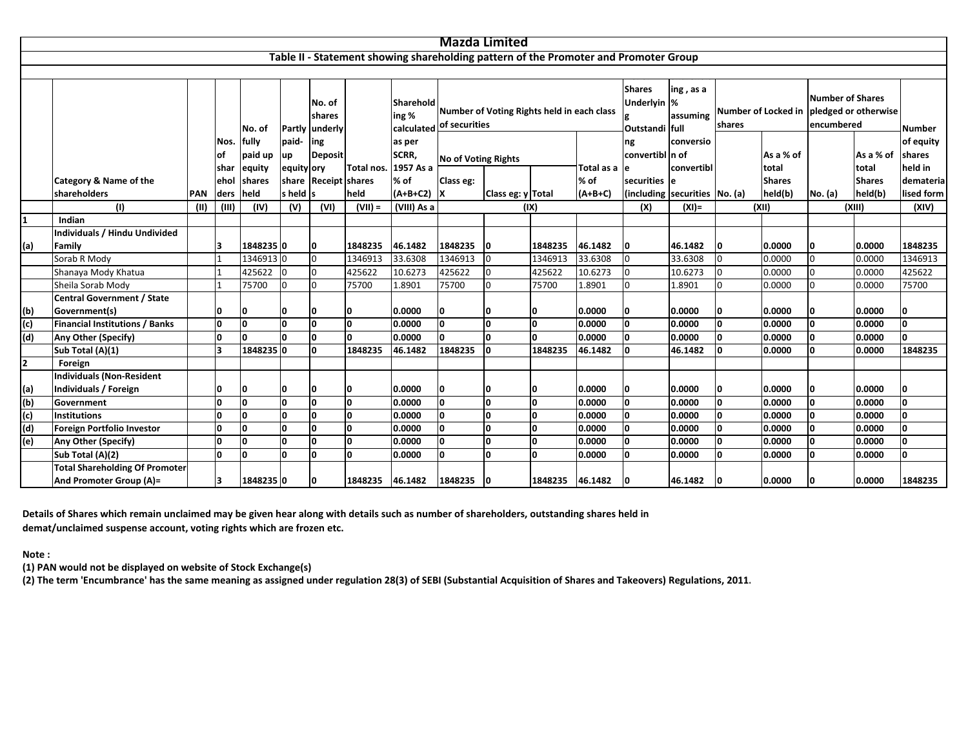|     |                                       |            |              |                |            |                                    |            |                    |                            | <b>Mazda Limited</b>                       |              |           |                                                                                      |                               |          |                                                                                   |               |               |              |  |
|-----|---------------------------------------|------------|--------------|----------------|------------|------------------------------------|------------|--------------------|----------------------------|--------------------------------------------|--------------|-----------|--------------------------------------------------------------------------------------|-------------------------------|----------|-----------------------------------------------------------------------------------|---------------|---------------|--------------|--|
|     |                                       |            |              |                |            |                                    |            |                    |                            |                                            |              |           |                                                                                      |                               |          |                                                                                   |               |               |              |  |
|     |                                       |            |              |                |            |                                    |            |                    |                            |                                            |              |           | Table II - Statement showing shareholding pattern of the Promoter and Promoter Group |                               |          |                                                                                   |               |               |              |  |
|     |                                       |            |              |                |            |                                    |            |                    |                            |                                            |              |           |                                                                                      |                               |          |                                                                                   |               |               |              |  |
|     |                                       |            |              | No. of         |            | No. of<br>shares<br>Partly underly |            | Sharehold<br>ing % | calculated of securities   | Number of Voting Rights held in each class |              |           | <b>Shares</b><br>Underlyin  %<br>Outstandi full                                      | ing, as a<br>assuming         | shares   | <b>Number of Shares</b><br>Number of Locked in pledged or otherwise<br>encumbered | <b>Number</b> |               |              |  |
|     |                                       |            | Nos.         | lfully         | paid-      | ing                                |            | as per             |                            |                                            |              |           | ng                                                                                   | conversio                     |          |                                                                                   |               |               | of equity    |  |
|     |                                       |            | οf           | paid up        | up         | <b>Deposit</b>                     |            | SCRR,              | <b>No of Voting Rights</b> |                                            |              |           | convertibl n of                                                                      |                               |          | As a % of                                                                         |               | As a % of     | shares       |  |
|     |                                       |            | <b>shar</b>  | equity         | equity ory |                                    | Total nos. | 1957 As a          |                            |                                            |              |           | Total as a le                                                                        | convertibl                    |          | total                                                                             |               | total         | held in      |  |
|     | Category & Name of the                |            | ehol         | <b>Ishares</b> | share      | <b>Receipt shares</b>              |            | % of               | Class eg:                  |                                            |              | % of      | securities le                                                                        |                               |          | <b>Shares</b>                                                                     |               | <b>Shares</b> | demateria    |  |
|     | shareholders                          | <b>PAN</b> | ders         | <b>held</b>    | s held s   |                                    | held       | $(A+B+C2)$ X       |                            | Class eg: y Total                          |              | $(A+B+C)$ |                                                                                      | (including securities No. (a) |          | held(b)                                                                           | No. (a)       | held(b)       | lised form   |  |
|     | (1)                                   | (II)       | (III)        | (IV)           | (V)        | (VI)                               | $(VII) =$  | (VIII) As a        |                            |                                            | (IX)         |           | (X)                                                                                  | $(XI) =$                      |          | (XII)                                                                             |               | (XIII)        | (XIV)        |  |
| 1   | Indian                                |            |              |                |            |                                    |            |                    |                            |                                            |              |           |                                                                                      |                               |          |                                                                                   |               |               |              |  |
|     | <b>Individuals / Hindu Undivided</b>  |            |              |                |            |                                    |            |                    |                            |                                            |              |           |                                                                                      |                               |          |                                                                                   |               |               |              |  |
| (a) | Family                                |            | Ι3           | 18482350       |            | I٥                                 | 1848235    | 46.1482            | 1848235 0                  |                                            | 1848235      | 46.1482   | 0                                                                                    | 46.1482                       |          | 0.0000                                                                            | O             | 0.0000        | 1848235      |  |
|     | Sorab R Mody                          |            |              | 13469130       |            | 0                                  | 1346913    | 33.6308            | 1346913                    | 0                                          | 1346913      | 33.6308   | U                                                                                    | 33.6308                       | $\Omega$ | 0.0000                                                                            | $\Omega$      | 0.0000        | 1346913      |  |
|     | Shanaya Mody Khatua                   |            |              | 425622 0       |            | $\overline{0}$                     | 425622     | 10.6273            | 425622                     | $\overline{0}$                             | 425622       | 10.6273   |                                                                                      | 10.6273                       | $\Omega$ | 0.0000                                                                            | $\Omega$      | 0.0000        | 425622       |  |
|     | Sheila Sorab Mody                     |            |              | 75700          | $\Omega$   | $\Omega$                           | 75700      | 1.8901             | 75700                      | <sup>0</sup>                               | 75700        | 1.8901    |                                                                                      | 1.8901                        | $\Omega$ | 0.0000                                                                            | O             | 0.0000        | 75700        |  |
|     | Central Government / State            |            |              |                |            |                                    |            |                    |                            |                                            |              |           |                                                                                      |                               |          |                                                                                   |               |               |              |  |
| (b) | Government(s)                         |            | 0            | 0              | ŋ          | 0                                  | ۱O         | 0.0000             | O                          |                                            |              | 0.0000    |                                                                                      | 0.0000                        | ۱O       | 0.0000                                                                            | O             | 0.0000        | 0            |  |
| (c) | <b>Financial Institutions / Banks</b> |            | 0            | l0             | <b>O</b>   | I٥                                 | O          | 0.0000             | l0                         | <sup>0</sup>                               | O            | 0.0000    | n                                                                                    | 0.0000                        | O        | 0.0000                                                                            | n.            | 0.0000        | I٥           |  |
| (d) | Any Other (Specify)                   |            | 0            | ١n             | n          | I٥                                 | <b>O</b>   | 0.0000             | n.                         | $\Omega$                                   | <sup>0</sup> | 0.0000    |                                                                                      | 0.0000                        | <b>O</b> | 0.0000                                                                            | 0             | 0.0000        | O            |  |
|     | Sub Total (A)(1)                      |            | 3            | 18482350       |            | O                                  | 1848235    | 46.1482            | 1848235                    | $\Omega$                                   | 1848235      | 46.1482   |                                                                                      | 46.1482                       |          | 0.0000                                                                            | O             | 0.0000        | 1848235      |  |
| 2   | Foreign                               |            |              |                |            |                                    |            |                    |                            |                                            |              |           |                                                                                      |                               |          |                                                                                   |               |               |              |  |
|     | <b>Individuals (Non-Resident</b>      |            |              |                |            |                                    |            |                    |                            |                                            |              |           |                                                                                      |                               |          |                                                                                   |               |               |              |  |
| (a) | Individuals / Foreign                 |            | 0            | 10             | 0          | 0                                  | 10         | 0.0000             | 0                          | 0                                          | 0            | 0.0000    |                                                                                      | 0.0000                        |          | 0.0000                                                                            | O             | 0.0000        | 0            |  |
| (b) | Government                            |            | 0            | l0             | ١o         | I٥                                 | O          | 0.0000             | O                          | ١o                                         | O            | 0.0000    | 0                                                                                    | 0.0000                        | 0        | 0.0000                                                                            | O             | 0.0000        | O            |  |
| (c) | Institutions                          |            | $\Omega$     | ١o             | O          | O                                  | O          | 0.0000             | <b>O</b>                   | <sup>0</sup>                               | <b>O</b>     | 0.0000    |                                                                                      | 0.0000                        | 0        | 0.0000                                                                            | 0             | 0.0000        | O            |  |
| (d) | Foreign Portfolio Investor            |            | <sup>0</sup> | ١o             | $\Omega$   | $\Omega$                           | <b>O</b>   | 0.0000             | <b>O</b>                   | <sup>0</sup>                               | <b>O</b>     | 0.0000    | n                                                                                    | 0.0000                        | <b>O</b> | 0.0000                                                                            | 0             | 0.0000        | O            |  |
| (e) | Any Other (Specify)                   |            | <sup>0</sup> | ١o             | $\Omega$   | O                                  | 0          | 0.0000             | <sup>0</sup>               | <sup>0</sup>                               | <sup>0</sup> | 0.0000    | n                                                                                    | 0.0000                        | <b>O</b> | 0.0000                                                                            | n.            | 0.0000        | O            |  |
|     | Sub Total (A)(2)                      |            | o            | I٥             | n          | I٥                                 | <b>O</b>   | 0.0000             | <b>O</b>                   | <sup>0</sup>                               | <sup>0</sup> | 0.0000    | n.                                                                                   | 0.0000                        | <b>O</b> | 0.0000                                                                            | n.            | 0.0000        | <sup>0</sup> |  |
|     | <b>Total Shareholding Of Promoter</b> |            |              |                |            |                                    |            |                    |                            |                                            |              |           |                                                                                      |                               |          |                                                                                   |               |               |              |  |
|     | And Promoter Group (A)=               |            | Ι3           | 1848235 0      |            | O                                  | 1848235    | 46.1482            | 1848235 0                  |                                            | 1848235      | 46.1482   |                                                                                      | 46.1482                       | $\Omega$ | 0.0000                                                                            | O.            | 0.0000        | 1848235      |  |

Details of Shares which remain unclaimed may be given hear along with details such as number of shareholders, outstanding shares held in **demat/unclaimed suspense account, voting rights which are frozen etc.**

**Note :**

**(1) PAN would not be displayed on website of Stock Exchange(s)**

(2) The term 'Encumbrance' has the same meaning as assigned under regulation 28(3) of SEBI (Substantial Acquisition of Shares and Takeovers) Regulations, 2011.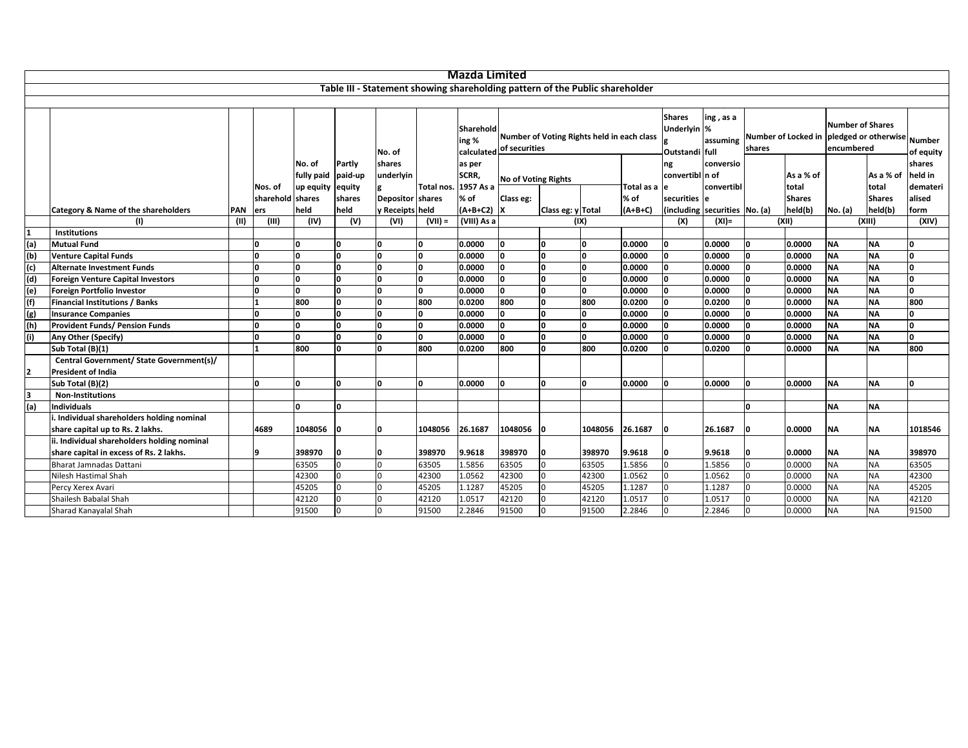|                |                                                                       |      |                  |                    |          |                  |                      | <b>Mazda Limited</b>                           |                            |                   |                                                                              |              |                                                |                       |        |               |                                       |                                                 |              |
|----------------|-----------------------------------------------------------------------|------|------------------|--------------------|----------|------------------|----------------------|------------------------------------------------|----------------------------|-------------------|------------------------------------------------------------------------------|--------------|------------------------------------------------|-----------------------|--------|---------------|---------------------------------------|-------------------------------------------------|--------------|
|                |                                                                       |      |                  |                    |          |                  |                      |                                                |                            |                   | Table III - Statement showing shareholding pattern of the Public shareholder |              |                                                |                       |        |               |                                       |                                                 |              |
|                |                                                                       |      |                  |                    |          |                  |                      |                                                |                            |                   |                                                                              |              |                                                |                       |        |               |                                       |                                                 |              |
|                |                                                                       |      |                  |                    |          | No. of           |                      | Sharehold<br>ing %<br>calculated of securities |                            |                   | Number of Voting Rights held in each class                                   |              | <b>Shares</b><br>Underlyin %<br>Outstandi full | ing, as a<br>assuming | shares |               | <b>Number of Shares</b><br>encumbered | Number of Locked in pledged or otherwise Number | of equity    |
|                |                                                                       |      |                  | No. of             | Partly   | shares           |                      | as per                                         |                            |                   |                                                                              |              | ng                                             | conversio             |        |               |                                       |                                                 | shares       |
|                |                                                                       |      |                  | fully paid paid-up |          | underlyin        |                      | SCRR,                                          | <b>No of Voting Rights</b> |                   |                                                                              |              | convertibl n of                                |                       |        | As a % of     |                                       | As a % of                                       | held in      |
|                |                                                                       |      | Nos. of          | up equity equity   |          |                  | Total nos. 1957 As a |                                                |                            |                   |                                                                              | Total as a e |                                                | convertibl            |        | total         |                                       | total                                           | demateri     |
|                |                                                                       |      | sharehold shares |                    | shares   | Depositor shares |                      | % of                                           | Class eg:                  |                   |                                                                              | % of         | securities le                                  |                       |        | <b>Shares</b> |                                       | <b>Shares</b>                                   | alised       |
|                | Category & Name of the shareholders                                   | PAN  | lers             | held               | held     | y Receipts held  |                      | $(A+B+C2)$ X                                   |                            | Class eg: y Total |                                                                              | $(A+B+C)$    | (including securities No. (a)                  |                       |        | held(b)       | No. (a)                               | held(b)                                         | form         |
|                | (1)                                                                   | (II) | (III)            | (IV)               | (V)      | (VI)             | $(VII) =$            | (VIII) As a                                    |                            |                   | (IX)                                                                         |              | (X)                                            | $(XI) =$              |        | (XII)         |                                       | (XIII)                                          | (XIV)        |
|                | <b>Institutions</b>                                                   |      |                  |                    |          |                  |                      |                                                |                            |                   |                                                                              |              |                                                |                       |        |               |                                       |                                                 |              |
| (a)            | <b>Mutual Fund</b>                                                    |      | ١o               |                    | O        | I٥               | O                    | 0.0000                                         | I٥                         | <sup>0</sup>      | I۵                                                                           | 0.0000       | 0                                              | 0.0000                |        | 0.0000        | <b>NA</b>                             | <b>NA</b>                                       | n            |
| (b)            | <b>Venture Capital Funds</b>                                          |      | I٥               | l0.                | l0       | I٥               | n.                   | 0.0000                                         | ١o                         | O                 | I٥                                                                           | 0.0000       | n.                                             | 0.0000                | n      | 0.0000        | <b>NA</b>                             | <b>NA</b>                                       | I٥           |
| (c)            | <b>Alternate Investment Funds</b>                                     |      | n                | 'n                 | O        | ١o               | $\mathbf{0}$         | 0.0000                                         | I٥                         | O                 | n                                                                            | 0.0000       | n.                                             | 0.0000                | n      | 0.0000        | <b>NA</b>                             | <b>NA</b>                                       | O            |
| (d)            | <b>Foreign Venture Capital Investors</b>                              |      | n                | l0.                | l0       | ١o               | l O                  | 0.0000                                         | I٥                         | <sup>o</sup>      | I۵                                                                           | 0.0000       | O                                              | 0.0000                | n      | 0.0000        | <b>NA</b>                             | <b>NA</b>                                       | I٥           |
| (e)            | Foreign Portfolio Investor                                            |      |                  | l0.                | <b>n</b> | <b>n</b>         | 0                    | 0.0000                                         | ١o                         | l0.               | I۵                                                                           | 0.0000       | 0                                              | 0.0000                | n      | 0.0000        | <b>NA</b>                             | <b>NA</b>                                       | O            |
| (f)            | <b>Financial Institutions / Banks</b>                                 |      |                  | 800                | <b>n</b> | <b>n</b>         | 800                  | 0.0200                                         | 800                        | $\Omega$          | 800                                                                          | 0.0200       | n.                                             | 0.0200                |        | 0.0000        | <b>NA</b>                             | <b>NA</b>                                       | 800          |
| (g)            | <b>Insurance Companies</b>                                            |      |                  | 'n                 | l0       | ۱n               | O                    | 0.0000                                         | ١o                         | <sup>o</sup>      | n                                                                            | 0.0000       | 0                                              | 0.0000                |        | 0.0000        | <b>NA</b>                             | <b>NA</b>                                       | <sup>0</sup> |
| (h)            | <b>Provident Funds/ Pension Funds</b>                                 |      |                  | 'n                 | <b>n</b> | <b>n</b>         | $\mathbf{0}$         | 0.0000                                         | ١o                         | O                 |                                                                              | 0.0000       | O                                              | 0.0000                |        | 0.0000        | <b>NA</b>                             | <b>NA</b>                                       | I٥           |
| (i)            | Any Other (Specify)                                                   |      | ١O               | O                  | <b>l</b> | ۱O               | 0                    | 0.0000                                         | ١o                         | O                 | I۵                                                                           | 0.0000       | n.                                             | 0.0000                |        | 0.0000        | <b>NA</b>                             | <b>NA</b>                                       | n.           |
|                | Sub Total (B)(1)                                                      |      |                  | 800                | 'n       | ۱n               | 800                  | 0.0200                                         | 800                        | <sup>0</sup>      | 800                                                                          | 0.0200       | n                                              | 0.0200                |        | 0.0000        | <b>NA</b>                             | <b>NA</b>                                       | 800          |
| $\overline{2}$ | Central Government/ State Government(s)/<br><b>President of India</b> |      |                  |                    |          |                  |                      |                                                |                            |                   |                                                                              |              |                                                |                       |        |               |                                       |                                                 |              |
|                | Sub Total (B)(2)                                                      |      | I٥               | l0.                | O        | I∩               | ١o                   | 0.0000                                         | ١o                         | 0                 | I٥                                                                           | 0.0000       | O                                              | 0.0000                |        | 0.0000        | <b>NA</b>                             | <b>NA</b>                                       | n            |
| 3              | <b>Non-Institutions</b>                                               |      |                  |                    |          |                  |                      |                                                |                            |                   |                                                                              |              |                                                |                       |        |               |                                       |                                                 |              |
| (a)            | <b>Individuals</b>                                                    |      |                  | 'n                 | O        |                  |                      |                                                |                            |                   |                                                                              |              |                                                |                       | n      |               | <b>NA</b>                             | <b>NA</b>                                       |              |
|                | Individual shareholders holding nominal                               |      |                  |                    |          |                  |                      |                                                |                            |                   |                                                                              |              |                                                |                       |        |               |                                       |                                                 |              |
|                | share capital up to Rs. 2 lakhs.                                      |      | 4689             | 1048056            |          |                  | 1048056              | 26.1687                                        | 1048056                    |                   | 1048056                                                                      | 26.1687      |                                                | 26.1687               |        | 0.0000        | <b>NA</b>                             | <b>NA</b>                                       | 1018546      |
|                | ii. Individual shareholders holding nominal                           |      |                  |                    |          |                  |                      |                                                |                            |                   |                                                                              |              |                                                |                       |        |               |                                       |                                                 |              |
|                | share capital in excess of Rs. 2 lakhs.                               |      | ١q               | 398970             |          |                  | 398970               | 9.9618                                         | 398970                     |                   | 398970                                                                       | 9.9618       |                                                | 9.9618                |        | 0.0000        | <b>NA</b>                             | <b>NA</b>                                       | 398970       |
|                | <b>Bharat Jamnadas Dattani</b>                                        |      |                  | 63505              | $\Omega$ |                  | 63505                | 1.5856                                         | 63505                      | 0                 | 63505                                                                        | 1.5856       | $\Omega$                                       | 1.5856                |        | 0.0000        | <b>NA</b>                             | <b>NA</b>                                       | 63505        |
|                | Nilesh Hastimal Shah                                                  |      |                  | 42300              | $\Omega$ |                  | 42300                | 1.0562                                         | 42300                      | 0                 | 42300                                                                        | 1.0562       |                                                | 1.0562                |        | 0.0000        | <b>NA</b>                             | <b>NA</b>                                       | 42300        |
|                | Percy Xerex Avari                                                     |      |                  | 45205              | $\Omega$ |                  | 45205                | 1.1287                                         | 45205                      | $\Omega$          | 45205                                                                        | 1.1287       |                                                | 1.1287                |        | 0.0000        | <b>NA</b>                             | <b>NA</b>                                       | 45205        |
|                | Shailesh Babalal Shah                                                 |      |                  | 42120              |          |                  | 42120                | 1.0517                                         | 42120                      |                   | 42120                                                                        | 1.0517       |                                                | 1.0517                |        | 0.0000        | <b>NA</b>                             | <b>NA</b>                                       | 42120        |
|                | Sharad Kanayalal Shah                                                 |      |                  | 91500              | $\Omega$ |                  | 91500                | 2.2846                                         | 91500                      | $\Omega$          | 91500                                                                        | 2.2846       | <sup>o</sup>                                   | 2.2846                |        | 0.0000        | <b>NA</b>                             | <b>NA</b>                                       | 91500        |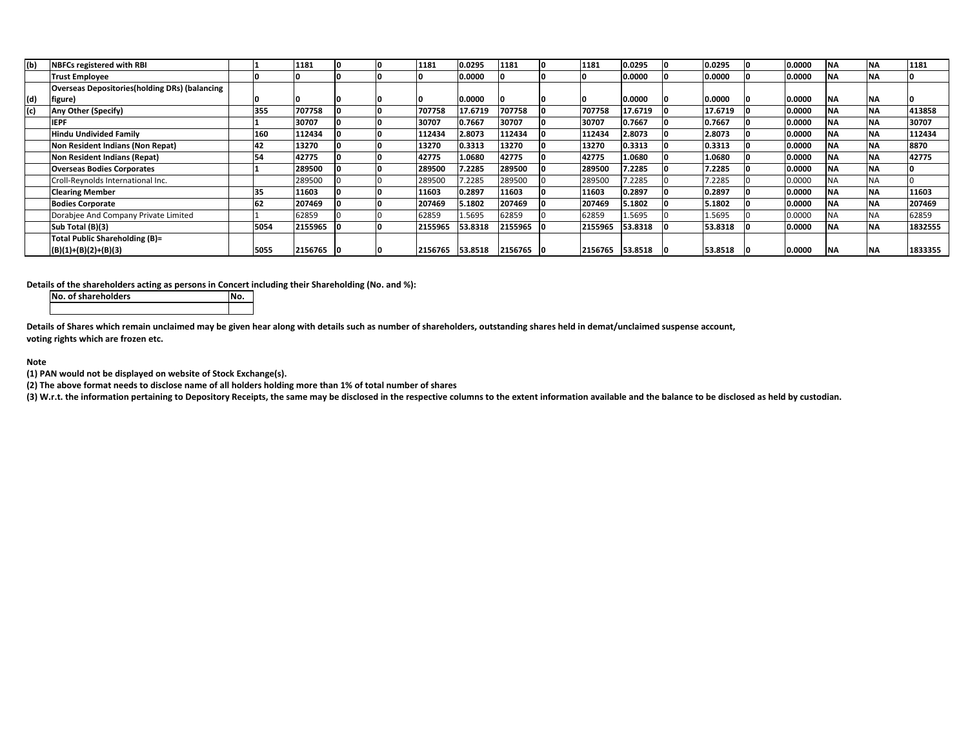| (b) | <b>NBFCs registered with RBI</b>                      |      | 1181      |  | 1181    | 0.0295  | 1181    | 1181    | 0.0295  | 0.0295  | 0.0000 |           | <b>INA</b> | 1181    |
|-----|-------------------------------------------------------|------|-----------|--|---------|---------|---------|---------|---------|---------|--------|-----------|------------|---------|
|     | <b>Trust Employee</b>                                 |      |           |  |         | 0.0000  |         |         | 0.0000  | 0.0000  | 0.0000 |           | <b>INA</b> |         |
|     | <b>Overseas Depositories (holding DRs) (balancing</b> |      |           |  |         |         |         |         |         |         |        |           |            |         |
| (d) | figure)                                               |      |           |  |         | 0.0000  |         |         | 0.0000  | 0.0000  | 0.0000 | <b>NA</b> | <b>INA</b> |         |
| (c) | Any Other (Specify)                                   | 355  | 707758    |  | 707758  | 17.6719 | 707758  | 707758  | 17.6719 | 17.6719 | 0.0000 | <b>NA</b> | <b>INA</b> | 413858  |
|     | <b>IEPF</b>                                           |      | 30707     |  | 30707   | 0.7667  | 30707   | 30707   | 0.7667  | 0.7667  | 0.0000 | NΑ        | <b>INA</b> | 30707   |
|     | Hindu Undivided Family                                | 160  | 112434    |  | 112434  | 2.8073  | 112434  | 112434  | 2.8073  | 2.8073  | 0.0000 | ΝA        | <b>NA</b>  | 112434  |
|     | Non Resident Indians (Non Repat)                      | 42   | 13270     |  | 13270   | 0.3313  | 13270   | 13270   | 0.3313  | 0.3313  | 0.0000 | <b>NA</b> | <b>INA</b> | 8870    |
|     | Non Resident Indians (Repat)                          | 54   | 42775     |  | 42775   | 1.0680  | 42775   | 42775   | 1.0680  | 1.0680  | 0.0000 | <b>NA</b> | <b>INA</b> | 42775   |
|     | <b>Overseas Bodies Corporates</b>                     |      | 289500    |  | 289500  | 1.2285  | 289500  | 289500  | 7.2285  | 7.2285  | 0.0000 | <b>NA</b> | <b>INA</b> |         |
|     | Croll-Reynolds International Inc.                     |      | 289500    |  | 289500  | 7.2285  | 289500  | 289500  | 7.2285  | 7.2285  | 0.0000 | <b>NA</b> | <b>NA</b>  |         |
|     | <b>Clearing Member</b>                                | 35   | 11603     |  | 11603   | 0.2897  | 11603   | 11603   | 0.2897  | 0.2897  | 0.0000 | <b>NA</b> | <b>INA</b> | 11603   |
|     | <b>Bodies Corporate</b>                               | 62   | 207469    |  | 207469  | 5.1802  | 207469  | 207469  | 5.1802  | 5.1802  | 0.0000 | <b>NA</b> | <b>INA</b> | 207469  |
|     | Dorabjee And Company Private Limited                  |      | 62859     |  | 62859   | 1.5695  | 62859   | 62859   | 1.5695  | L.5695  | 0.0000 | <b>NA</b> | <b>INA</b> | 62859   |
|     | Sub Total (B)(3)                                      | 5054 | 2155965   |  | 2155965 | 53.8318 | 2155965 | 2155965 | 53.8318 | 53.8318 | 0.0000 | <b>NA</b> | <b>INA</b> | 1832555 |
|     | Total Public Shareholding (B)=                        |      |           |  |         |         |         |         |         |         |        |           |            |         |
|     | $(B)(1)+(B)(2)+(B)(3)$                                | 5055 | 2156765 0 |  | 2156765 | 53.8518 | 2156765 | 2156765 | 53.8518 | 53.8518 | 0.0000 | <b>NA</b> | <b>INA</b> | 1833355 |

**Details of the shareholders acting as persons in Concert including their Shareholding (No. and %):**

**No. of shareholders No.**

Details of Shares which remain unclaimed may be given hear along with details such as number of shareholders, outstanding shares held in demat/unclaimed suspense account, **voting rights which are frozen etc.**

## **Note**

**(1) PAN would not be displayed on website of Stock Exchange(s).**

(2) The above format needs to disclose name of all holders holding more than 1% of total number of shares

(3) W.r.t. the information pertaining to Depository Receipts, the same may be disclosed in the respective columns to the extent information available and the balance to be disclosed as held by custodian.